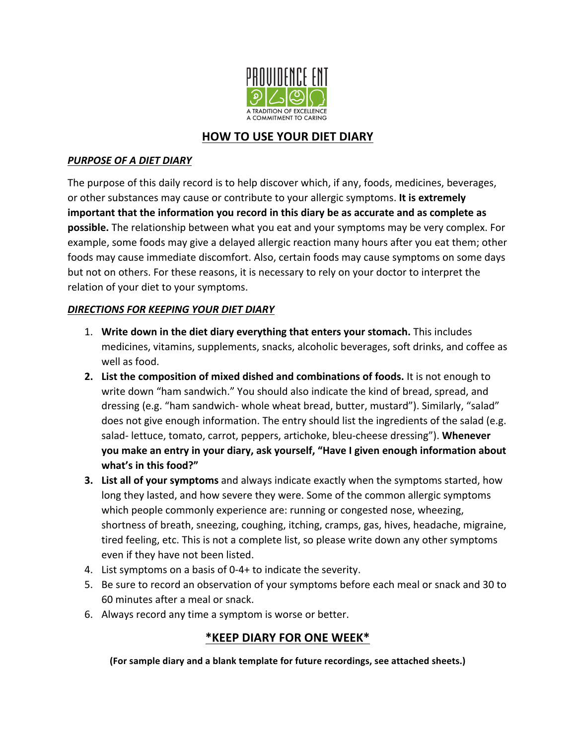

## **HOW TO USE YOUR DIET DIARY**

## **PURPOSE OF A DIET DIARY**

The purpose of this daily record is to help discover which, if any, foods, medicines, beverages, or other substances may cause or contribute to your allergic symptoms. It is extremely important that the information you record in this diary be as accurate and as complete as **possible.** The relationship between what you eat and your symptoms may be very complex. For example, some foods may give a delayed allergic reaction many hours after you eat them; other foods may cause immediate discomfort. Also, certain foods may cause symptoms on some days but not on others. For these reasons, it is necessary to rely on your doctor to interpret the relation of your diet to your symptoms.

### *DIRECTIONS FOR KEEPING YOUR DIET DIARY*

- 1. Write down in the diet diary everything that enters your stomach. This includes medicines, vitamins, supplements, snacks, alcoholic beverages, soft drinks, and coffee as well as food.
- **2.** List the composition of mixed dished and combinations of foods. It is not enough to write down "ham sandwich." You should also indicate the kind of bread, spread, and dressing (e.g. "ham sandwich- whole wheat bread, butter, mustard"). Similarly, "salad" does not give enough information. The entry should list the ingredients of the salad (e.g. salad- lettuce, tomato, carrot, peppers, artichoke, bleu-cheese dressing"). Whenever you make an entry in your diary, ask yourself, "Have I given enough information about what's in this food?"
- **3. List all of your symptoms** and always indicate exactly when the symptoms started, how long they lasted, and how severe they were. Some of the common allergic symptoms which people commonly experience are: running or congested nose, wheezing, shortness of breath, sneezing, coughing, itching, cramps, gas, hives, headache, migraine, tired feeling, etc. This is not a complete list, so please write down any other symptoms even if they have not been listed.
- 4. List symptoms on a basis of 0-4+ to indicate the severity.
- 5. Be sure to record an observation of your symptoms before each meal or snack and 30 to 60 minutes after a meal or snack.
- 6. Always record any time a symptom is worse or better.

## **\*KEEP DIARY FOR ONE WEEK\***

(For sample diary and a blank template for future recordings, see attached sheets.)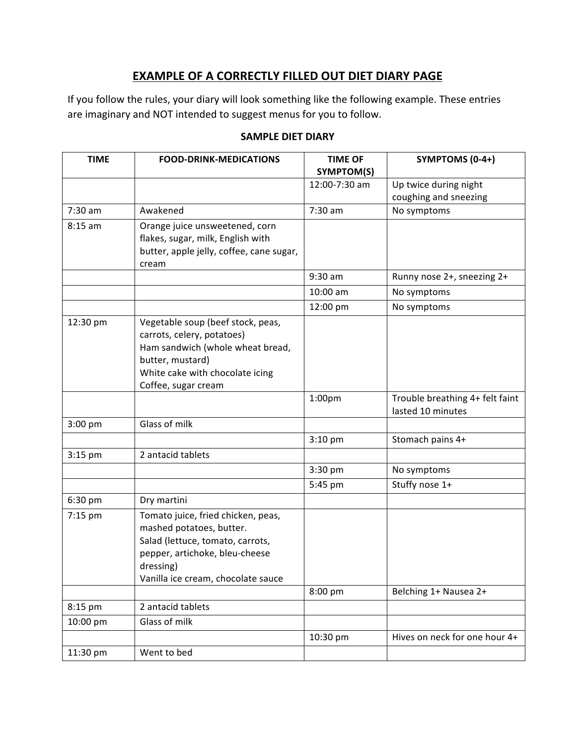# **EXAMPLE OF A CORRECTLY FILLED OUT DIET DIARY PAGE**

If you follow the rules, your diary will look something like the following example. These entries are imaginary and NOT intended to suggest menus for you to follow.

| <b>TIME</b> | <b>FOOD-DRINK-MEDICATIONS</b>                                                                                                                                                           | <b>TIME OF</b><br>SYMPTOM(S) | SYMPTOMS (0-4+)                                      |
|-------------|-----------------------------------------------------------------------------------------------------------------------------------------------------------------------------------------|------------------------------|------------------------------------------------------|
|             |                                                                                                                                                                                         | 12:00-7:30 am                | Up twice during night<br>coughing and sneezing       |
| $7:30$ am   | Awakened                                                                                                                                                                                | $7:30$ am                    | No symptoms                                          |
| $8:15$ am   | Orange juice unsweetened, corn<br>flakes, sugar, milk, English with<br>butter, apple jelly, coffee, cane sugar,<br>cream                                                                |                              |                                                      |
|             |                                                                                                                                                                                         | 9:30 am                      | Runny nose 2+, sneezing 2+                           |
|             |                                                                                                                                                                                         | 10:00 am                     | No symptoms                                          |
|             |                                                                                                                                                                                         | 12:00 pm                     | No symptoms                                          |
| 12:30 pm    | Vegetable soup (beef stock, peas,<br>carrots, celery, potatoes)<br>Ham sandwich (whole wheat bread,<br>butter, mustard)<br>White cake with chocolate icing<br>Coffee, sugar cream       |                              |                                                      |
|             |                                                                                                                                                                                         | 1:00 <sub>pm</sub>           | Trouble breathing 4+ felt faint<br>lasted 10 minutes |
| $3:00$ pm   | Glass of milk                                                                                                                                                                           |                              |                                                      |
|             |                                                                                                                                                                                         | 3:10 pm                      | Stomach pains 4+                                     |
| 3:15 pm     | 2 antacid tablets                                                                                                                                                                       |                              |                                                      |
|             |                                                                                                                                                                                         | 3:30 pm                      | No symptoms                                          |
|             |                                                                                                                                                                                         | 5:45 pm                      | Stuffy nose 1+                                       |
| 6:30 pm     | Dry martini                                                                                                                                                                             |                              |                                                      |
| 7:15 pm     | Tomato juice, fried chicken, peas,<br>mashed potatoes, butter.<br>Salad (lettuce, tomato, carrots,<br>pepper, artichoke, bleu-cheese<br>dressing)<br>Vanilla ice cream, chocolate sauce |                              |                                                      |
|             |                                                                                                                                                                                         | 8:00 pm                      | Belching 1+ Nausea 2+                                |
| 8:15 pm     | 2 antacid tablets                                                                                                                                                                       |                              |                                                      |
| 10:00 pm    | Glass of milk                                                                                                                                                                           |                              |                                                      |
|             |                                                                                                                                                                                         | 10:30 pm                     | Hives on neck for one hour 4+                        |
| 11:30 pm    | Went to bed                                                                                                                                                                             |                              |                                                      |

### **SAMPLE DIET DIARY**